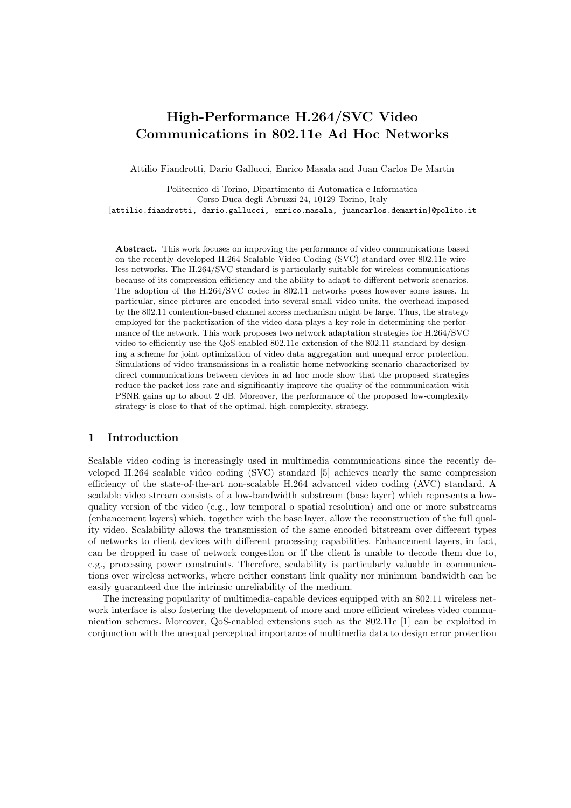# High-Performance H.264/SVC Video Communications in 802.11e Ad Hoc Networks

Attilio Fiandrotti, Dario Gallucci, Enrico Masala and Juan Carlos De Martin

Politecnico di Torino, Dipartimento di Automatica e Informatica Corso Duca degli Abruzzi 24, 10129 Torino, Italy [attilio.fiandrotti, dario.gallucci, enrico.masala, juancarlos.demartin]@polito.it

Abstract. This work focuses on improving the performance of video communications based on the recently developed H.264 Scalable Video Coding (SVC) standard over 802.11e wireless networks. The H.264/SVC standard is particularly suitable for wireless communications because of its compression efficiency and the ability to adapt to different network scenarios. The adoption of the H.264/SVC codec in 802.11 networks poses however some issues. In particular, since pictures are encoded into several small video units, the overhead imposed by the 802.11 contention-based channel access mechanism might be large. Thus, the strategy employed for the packetization of the video data plays a key role in determining the performance of the network. This work proposes two network adaptation strategies for H.264/SVC video to efficiently use the QoS-enabled 802.11e extension of the 802.11 standard by designing a scheme for joint optimization of video data aggregation and unequal error protection. Simulations of video transmissions in a realistic home networking scenario characterized by direct communications between devices in ad hoc mode show that the proposed strategies reduce the packet loss rate and significantly improve the quality of the communication with PSNR gains up to about 2 dB. Moreover, the performance of the proposed low-complexity strategy is close to that of the optimal, high-complexity, strategy.

## 1 Introduction

Scalable video coding is increasingly used in multimedia communications since the recently developed H.264 scalable video coding (SVC) standard [5] achieves nearly the same compression efficiency of the state-of-the-art non-scalable H.264 advanced video coding (AVC) standard. A scalable video stream consists of a low-bandwidth substream (base layer) which represents a lowquality version of the video (e.g., low temporal o spatial resolution) and one or more substreams (enhancement layers) which, together with the base layer, allow the reconstruction of the full quality video. Scalability allows the transmission of the same encoded bitstream over different types of networks to client devices with different processing capabilities. Enhancement layers, in fact, can be dropped in case of network congestion or if the client is unable to decode them due to, e.g., processing power constraints. Therefore, scalability is particularly valuable in communications over wireless networks, where neither constant link quality nor minimum bandwidth can be easily guaranteed due the intrinsic unreliability of the medium.

The increasing popularity of multimedia-capable devices equipped with an 802.11 wireless network interface is also fostering the development of more and more efficient wireless video communication schemes. Moreover, QoS-enabled extensions such as the 802.11e [1] can be exploited in conjunction with the unequal perceptual importance of multimedia data to design error protection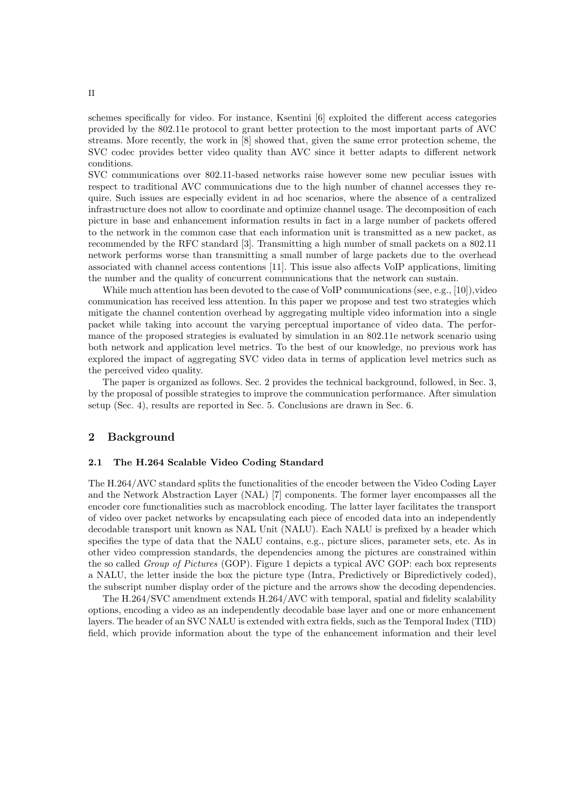schemes specifically for video. For instance, Ksentini [6] exploited the different access categories provided by the 802.11e protocol to grant better protection to the most important parts of AVC streams. More recently, the work in [8] showed that, given the same error protection scheme, the SVC codec provides better video quality than AVC since it better adapts to different network conditions.

SVC communications over 802.11-based networks raise however some new peculiar issues with respect to traditional AVC communications due to the high number of channel accesses they require. Such issues are especially evident in ad hoc scenarios, where the absence of a centralized infrastructure does not allow to coordinate and optimize channel usage. The decomposition of each picture in base and enhancement information results in fact in a large number of packets offered to the network in the common case that each information unit is transmitted as a new packet, as recommended by the RFC standard [3]. Transmitting a high number of small packets on a 802.11 network performs worse than transmitting a small number of large packets due to the overhead associated with channel access contentions [11]. This issue also affects VoIP applications, limiting the number and the quality of concurrent communications that the network can sustain.

While much attention has been devoted to the case of VoIP communications (see, e.g.,  $[10]$ ), video communication has received less attention. In this paper we propose and test two strategies which mitigate the channel contention overhead by aggregating multiple video information into a single packet while taking into account the varying perceptual importance of video data. The performance of the proposed strategies is evaluated by simulation in an 802.11e network scenario using both network and application level metrics. To the best of our knowledge, no previous work has explored the impact of aggregating SVC video data in terms of application level metrics such as the perceived video quality.

The paper is organized as follows. Sec. 2 provides the technical background, followed, in Sec. 3, by the proposal of possible strategies to improve the communication performance. After simulation setup (Sec. 4), results are reported in Sec. 5. Conclusions are drawn in Sec. 6.

## 2 Background

#### 2.1 The H.264 Scalable Video Coding Standard

The H.264/AVC standard splits the functionalities of the encoder between the Video Coding Layer and the Network Abstraction Layer (NAL) [7] components. The former layer encompasses all the encoder core functionalities such as macroblock encoding. The latter layer facilitates the transport of video over packet networks by encapsulating each piece of encoded data into an independently decodable transport unit known as NAL Unit (NALU). Each NALU is prefixed by a header which specifies the type of data that the NALU contains, e.g., picture slices, parameter sets, etc. As in other video compression standards, the dependencies among the pictures are constrained within the so called *Group of Pictures* (GOP). Figure 1 depicts a typical AVC GOP: each box represents a NALU, the letter inside the box the picture type (Intra, Predictively or Bipredictively coded), the subscript number display order of the picture and the arrows show the decoding dependencies.

The H.264/SVC amendment extends H.264/AVC with temporal, spatial and fidelity scalability options, encoding a video as an independently decodable base layer and one or more enhancement layers. The header of an SVC NALU is extended with extra fields, such as the Temporal Index (TID) field, which provide information about the type of the enhancement information and their level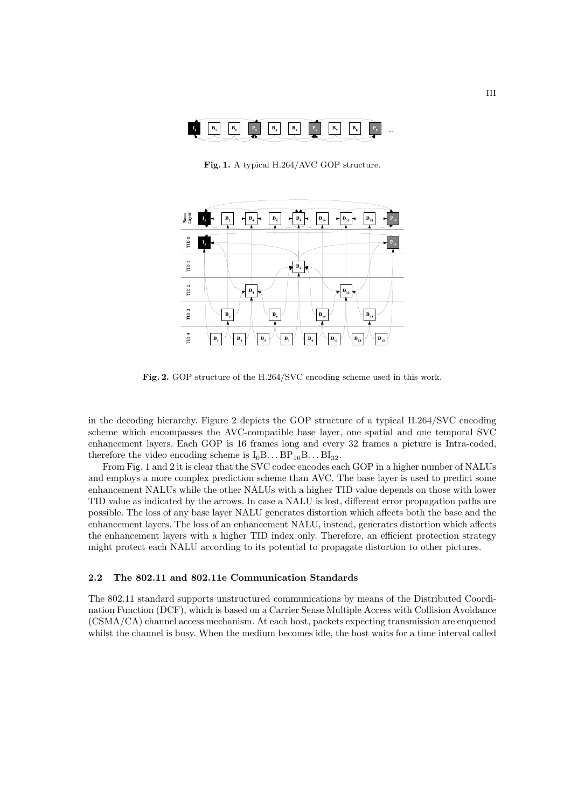

Fig. 1. A typical H.264/AVC GOP structure.



Fig. 2. GOP structure of the H.264/SVC encoding scheme used in this work.

in the decoding hierarchy. Figure 2 depicts the GOP structure of a typical H.264/SVC encoding scheme which encompasses the AVC-compatible base layer, one spatial and one temporal SVC enhancement layers. Each GOP is 16 frames long and every 32 frames a picture is Intra-coded, therefore the video encoding scheme is  $I_0B...BP_{16}B...BI_{32}$ .

From Fig. 1 and 2 it is clear that the SVC codec encodes each GOP in a higher number of NALUs and employs a more complex prediction scheme than AVC. The base layer is used to predict some enhancement NALUs while the other NALUs with a higher TID value depends on those with lower TID value as indicated by the arrows. In case a NALU is lost, different error propagation paths are possible. The loss of any base layer NALU generates distortion which affects both the base and the enhancement layers. The loss of an enhancement NALU, instead, generates distortion which affects the enhancement layers with a higher TID index only. Therefore, an efficient protection strategy might protect each NALU according to its potential to propagate distortion to other pictures.

## 2.2 The 802.11 and 802.11e Communication Standards

The 802.11 standard supports unstructured communications by means of the Distributed Coordination Function (DCF), which is based on a Carrier Sense Multiple Access with Collision Avoidance (CSMA/CA) channel access mechanism. At each host, packets expecting transmission are enqueued whilst the channel is busy. When the medium becomes idle, the host waits for a time interval called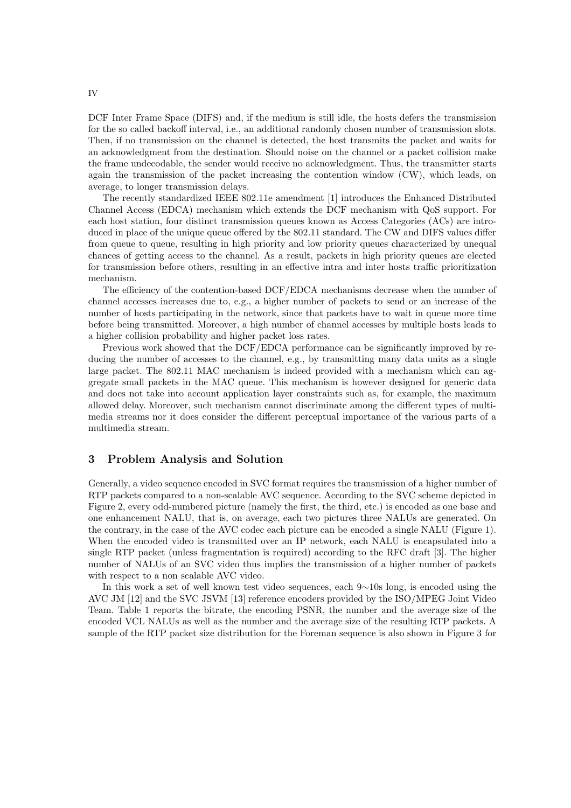DCF Inter Frame Space (DIFS) and, if the medium is still idle, the hosts defers the transmission for the so called backoff interval, i.e., an additional randomly chosen number of transmission slots. Then, if no transmission on the channel is detected, the host transmits the packet and waits for an acknowledgment from the destination. Should noise on the channel or a packet collision make the frame undecodable, the sender would receive no acknowledgment. Thus, the transmitter starts again the transmission of the packet increasing the contention window (CW), which leads, on average, to longer transmission delays.

The recently standardized IEEE 802.11e amendment [1] introduces the Enhanced Distributed Channel Access (EDCA) mechanism which extends the DCF mechanism with QoS support. For each host station, four distinct transmission queues known as Access Categories (ACs) are introduced in place of the unique queue offered by the 802.11 standard. The CW and DIFS values differ from queue to queue, resulting in high priority and low priority queues characterized by unequal chances of getting access to the channel. As a result, packets in high priority queues are elected for transmission before others, resulting in an effective intra and inter hosts traffic prioritization mechanism.

The efficiency of the contention-based DCF/EDCA mechanisms decrease when the number of channel accesses increases due to, e.g., a higher number of packets to send or an increase of the number of hosts participating in the network, since that packets have to wait in queue more time before being transmitted. Moreover, a high number of channel accesses by multiple hosts leads to a higher collision probability and higher packet loss rates.

Previous work showed that the DCF/EDCA performance can be significantly improved by reducing the number of accesses to the channel, e.g., by transmitting many data units as a single large packet. The 802.11 MAC mechanism is indeed provided with a mechanism which can aggregate small packets in the MAC queue. This mechanism is however designed for generic data and does not take into account application layer constraints such as, for example, the maximum allowed delay. Moreover, such mechanism cannot discriminate among the different types of multimedia streams nor it does consider the different perceptual importance of the various parts of a multimedia stream.

## 3 Problem Analysis and Solution

Generally, a video sequence encoded in SVC format requires the transmission of a higher number of RTP packets compared to a non-scalable AVC sequence. According to the SVC scheme depicted in Figure 2, every odd-numbered picture (namely the first, the third, etc.) is encoded as one base and one enhancement NALU, that is, on average, each two pictures three NALUs are generated. On the contrary, in the case of the AVC codec each picture can be encoded a single NALU (Figure 1). When the encoded video is transmitted over an IP network, each NALU is encapsulated into a single RTP packet (unless fragmentation is required) according to the RFC draft [3]. The higher number of NALUs of an SVC video thus implies the transmission of a higher number of packets with respect to a non scalable AVC video.

In this work a set of well known test video sequences, each 9∼10s long, is encoded using the AVC JM [12] and the SVC JSVM [13] reference encoders provided by the ISO/MPEG Joint Video Team. Table 1 reports the bitrate, the encoding PSNR, the number and the average size of the encoded VCL NALUs as well as the number and the average size of the resulting RTP packets. A sample of the RTP packet size distribution for the Foreman sequence is also shown in Figure 3 for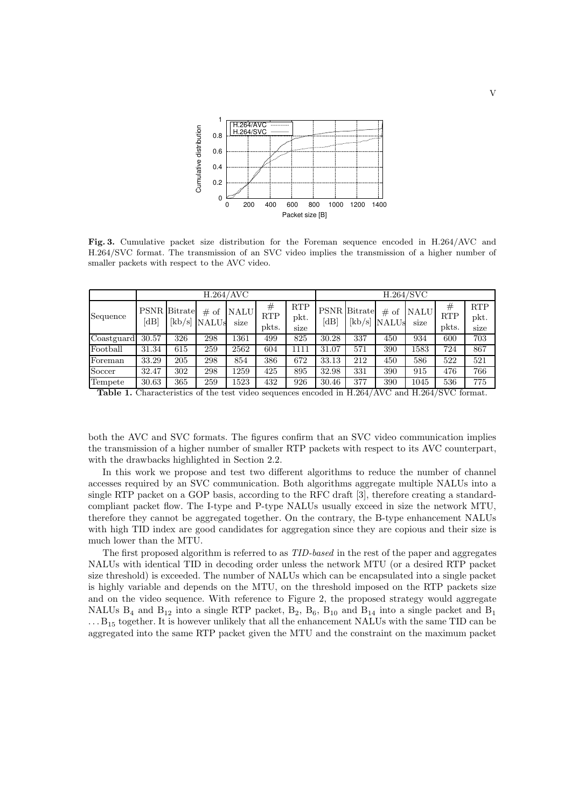

Fig. 3. Cumulative packet size distribution for the Foreman sequence encoded in H.264/AVC and H.264/SVC format. The transmission of an SVC video implies the transmission of a higher number of smaller packets with respect to the AVC video.

|            | H.264/AVC |                     |                        |                     |                                    |                            |       | H.264/SVC    |                           |                     |                          |                            |  |  |  |
|------------|-----------|---------------------|------------------------|---------------------|------------------------------------|----------------------------|-------|--------------|---------------------------|---------------------|--------------------------|----------------------------|--|--|--|
| Sequence   | [dB]      | <b>PSNR</b> Bitrate | # of<br>$[kb/s]$ NALUs | <b>NALU</b><br>size | $_{\rm \#}$<br><b>RTP</b><br>pkts. | <b>RTP</b><br>pkt.<br>size | [dB]  | PSNR Bitrate | #<br>of<br>$[kb/s]$ NALUs | <b>NALU</b><br>size | #<br><b>RTP</b><br>pkts. | <b>RTP</b><br>pkt.<br>size |  |  |  |
| Coastguard | 30.57     | 326                 | 298                    | 1361                | 499                                | 825                        | 30.28 | 337          | 450                       | 934                 | 600                      | 703                        |  |  |  |
| Football   | 31.34     | 615                 | 259                    | 2562                | 604                                | 1111                       | 31.07 | 571          | 390                       | 1583                | 724                      | 867                        |  |  |  |
| Foreman    | 33.29     | 205                 | 298                    | 854                 | 386                                | 672                        | 33.13 | 212          | 450                       | 586                 | 522                      | 521                        |  |  |  |
| Soccer     | 32.47     | 302                 | 298                    | 1259                | 425                                | 895                        | 32.98 | 331          | 390                       | 915                 | 476                      | 766                        |  |  |  |
| Tempete    | 30.63     | 365                 | 259                    | 1523                | 432                                | 926                        | 30.46 | 377          | 390                       | 1045                | 536                      | 775                        |  |  |  |

Table 1. Characteristics of the test video sequences encoded in H.264/AVC and H.264/SVC format.

both the AVC and SVC formats. The figures confirm that an SVC video communication implies the transmission of a higher number of smaller RTP packets with respect to its AVC counterpart, with the drawbacks highlighted in Section 2.2.

In this work we propose and test two different algorithms to reduce the number of channel accesses required by an SVC communication. Both algorithms aggregate multiple NALUs into a single RTP packet on a GOP basis, according to the RFC draft [3], therefore creating a standardcompliant packet flow. The I-type and P-type NALUs usually exceed in size the network MTU, therefore they cannot be aggregated together. On the contrary, the B-type enhancement NALUs with high TID index are good candidates for aggregation since they are copious and their size is much lower than the MTU.

The first proposed algorithm is referred to as *TID-based* in the rest of the paper and aggregates NALUs with identical TID in decoding order unless the network MTU (or a desired RTP packet size threshold) is exceeded. The number of NALUs which can be encapsulated into a single packet is highly variable and depends on the MTU, on the threshold imposed on the RTP packets size and on the video sequence. With reference to Figure 2, the proposed strategy would aggregate NALUs  $B_4$  and  $B_{12}$  into a single RTP packet,  $B_2$ ,  $B_6$ ,  $B_{10}$  and  $B_{14}$  into a single packet and  $B_1$  $\dots$  B<sub>15</sub> together. It is however unlikely that all the enhancement NALUs with the same TID can be aggregated into the same RTP packet given the MTU and the constraint on the maximum packet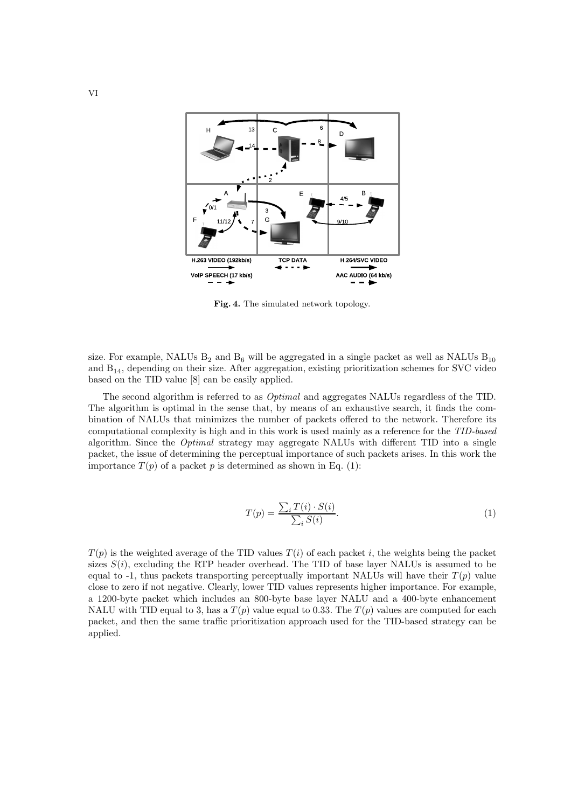

Fig. 4. The simulated network topology.

size. For example, NALUs  $B_2$  and  $B_6$  will be aggregated in a single packet as well as NALUs  $B_{10}$ and  $B_{14}$ , depending on their size. After aggregation, existing prioritization schemes for SVC video based on the TID value [8] can be easily applied.

The second algorithm is referred to as Optimal and aggregates NALUs regardless of the TID. The algorithm is optimal in the sense that, by means of an exhaustive search, it finds the combination of NALUs that minimizes the number of packets offered to the network. Therefore its computational complexity is high and in this work is used mainly as a reference for the TID-based algorithm. Since the Optimal strategy may aggregate NALUs with different TID into a single packet, the issue of determining the perceptual importance of such packets arises. In this work the importance  $T(p)$  of a packet p is determined as shown in Eq. (1):

$$
T(p) = \frac{\sum_{i} T(i) \cdot S(i)}{\sum_{i} S(i)}.
$$
\n
$$
(1)
$$

 $T(p)$  is the weighted average of the TID values  $T(i)$  of each packet i, the weights being the packet sizes  $S(i)$ , excluding the RTP header overhead. The TID of base layer NALUs is assumed to be equal to -1, thus packets transporting perceptually important NALUs will have their  $T(p)$  value close to zero if not negative. Clearly, lower TID values represents higher importance. For example, a 1200-byte packet which includes an 800-byte base layer NALU and a 400-byte enhancement NALU with TID equal to 3, has a  $T(p)$  value equal to 0.33. The  $T(p)$  values are computed for each packet, and then the same traffic prioritization approach used for the TID-based strategy can be applied.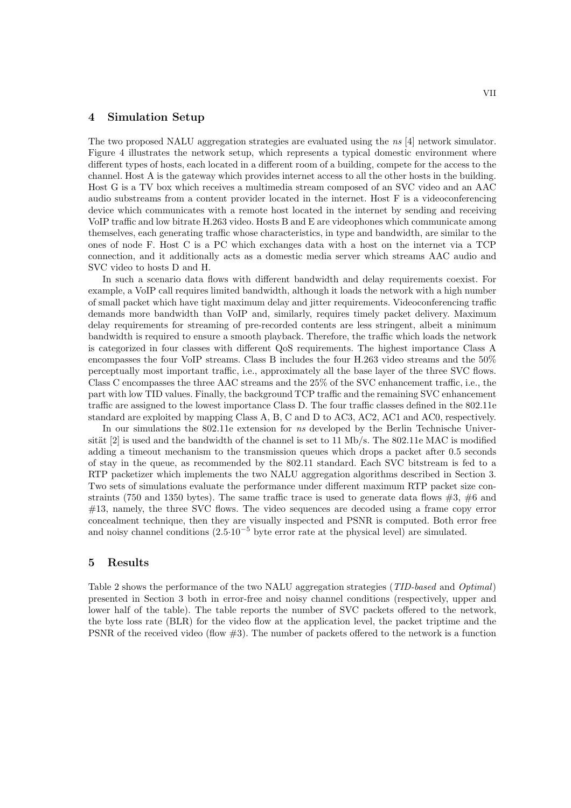## 4 Simulation Setup

The two proposed NALU aggregation strategies are evaluated using the ns [4] network simulator. Figure 4 illustrates the network setup, which represents a typical domestic environment where different types of hosts, each located in a different room of a building, compete for the access to the channel. Host A is the gateway which provides internet access to all the other hosts in the building. Host G is a TV box which receives a multimedia stream composed of an SVC video and an AAC audio substreams from a content provider located in the internet. Host F is a videoconferencing device which communicates with a remote host located in the internet by sending and receiving VoIP traffic and low bitrate H.263 video. Hosts B and E are videophones which communicate among themselves, each generating traffic whose characteristics, in type and bandwidth, are similar to the ones of node F. Host C is a PC which exchanges data with a host on the internet via a TCP connection, and it additionally acts as a domestic media server which streams AAC audio and SVC video to hosts D and H.

In such a scenario data flows with different bandwidth and delay requirements coexist. For example, a VoIP call requires limited bandwidth, although it loads the network with a high number of small packet which have tight maximum delay and jitter requirements. Videoconferencing traffic demands more bandwidth than VoIP and, similarly, requires timely packet delivery. Maximum delay requirements for streaming of pre-recorded contents are less stringent, albeit a minimum bandwidth is required to ensure a smooth playback. Therefore, the traffic which loads the network is categorized in four classes with different QoS requirements. The highest importance Class A encompasses the four VoIP streams. Class B includes the four H.263 video streams and the 50% perceptually most important traffic, i.e., approximately all the base layer of the three SVC flows. Class C encompasses the three AAC streams and the 25% of the SVC enhancement traffic, i.e., the part with low TID values. Finally, the background TCP traffic and the remaining SVC enhancement traffic are assigned to the lowest importance Class D. The four traffic classes defined in the 802.11e standard are exploited by mapping Class A, B, C and D to AC3, AC2, AC1 and AC0, respectively.

In our simulations the 802.11e extension for ns developed by the Berlin Technische Universität  $[2]$  is used and the bandwidth of the channel is set to 11 Mb/s. The 802.11e MAC is modified adding a timeout mechanism to the transmission queues which drops a packet after 0.5 seconds of stay in the queue, as recommended by the 802.11 standard. Each SVC bitstream is fed to a RTP packetizer which implements the two NALU aggregation algorithms described in Section 3. Two sets of simulations evaluate the performance under different maximum RTP packet size constraints (750 and 1350 bytes). The same traffic trace is used to generate data flows  $\#3, \#6$  and #13, namely, the three SVC flows. The video sequences are decoded using a frame copy error concealment technique, then they are visually inspected and PSNR is computed. Both error free and noisy channel conditions  $(2.5 \cdot 10^{-5}$  byte error rate at the physical level) are simulated.

#### 5 Results

Table 2 shows the performance of the two NALU aggregation strategies (TID-based and Optimal) presented in Section 3 both in error-free and noisy channel conditions (respectively, upper and lower half of the table). The table reports the number of SVC packets offered to the network, the byte loss rate (BLR) for the video flow at the application level, the packet triptime and the PSNR of the received video (flow  $\#3$ ). The number of packets offered to the network is a function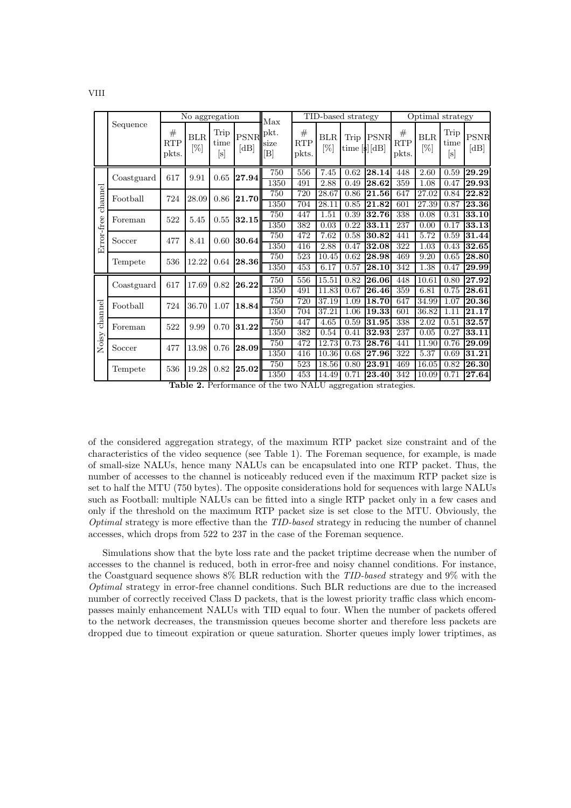|                       |                  | No aggregation                 |                      |                                |                     | Max                          | TID-based strategy             |                      |                        |             |                            | Optimal strategy     |                                |                     |  |
|-----------------------|------------------|--------------------------------|----------------------|--------------------------------|---------------------|------------------------------|--------------------------------|----------------------|------------------------|-------------|----------------------------|----------------------|--------------------------------|---------------------|--|
|                       | Sequence         | $^{\#}$<br><b>RTP</b><br>pkts. | <b>BLR</b><br>$[\%]$ | Trip<br>time<br>$[\mathrm{s}]$ | <b>PSNR</b><br>[dB] | lpkt.<br>size<br>$[{\rm B}]$ | $^{\#}$<br><b>RTP</b><br>pkts. | <b>BLR</b><br>$[\%]$ | Trip<br>time $[s][dB]$ | <b>PSNR</b> | #<br>RTP<br>$_{\rm pkts.}$ | <b>BLR</b><br>$[\%]$ | Trip<br>time<br>$[\mathrm{s}]$ | <b>PSNR</b><br>[dB] |  |
| channel<br>Error-free | $\rm Coastguard$ | 617                            | 9.91                 | 0.65                           | 27.94               | 750                          | 556                            | 7.45                 | 0.62                   | 28.14       | 448                        | 2.60                 | 0.59                           | 29.29               |  |
|                       |                  |                                |                      |                                |                     | 1350                         | 491                            | 2.88                 | 0.49                   | 28.62       | 359                        | 1.08                 | 0.47                           | 29.93               |  |
|                       | Football         | 724                            | 28.09                | 0.86                           | 21.70               | 750                          | 720                            | 28.67                | 0.86                   | 21.56       | 647                        | 27.02                | 0.84                           | 22.82               |  |
|                       |                  |                                |                      |                                |                     | 1350                         | 704                            | 28.11                | 0.85                   | 21.82       | 601                        | 27.39                | 0.87                           | $\overline{23.36}$  |  |
|                       | Foreman          | 522                            | 5.45                 | 0.55                           | 32.15               | 750                          | 447                            | 1.51                 | 0.39                   | 32.76       | 338                        | 0.08                 | 0.31                           | 33.10               |  |
|                       |                  |                                |                      |                                |                     | 1350                         | 382                            | 0.03                 | 0.22                   | 33.11       | 237                        | 0.00                 | 0.17                           | 33.13               |  |
|                       | Soccer           | 477                            | 8.41                 | 0.60                           | 30.64               | 750                          | 472                            | 7.62                 | 0.58                   | 30.82       | 441                        | 5.72                 | 0.59                           | 31.44               |  |
|                       |                  |                                |                      |                                |                     | 1350                         | 416                            | 2.88                 | 0.47                   | 32.08       | 322                        | 1.03                 | 0.43                           | 32.65               |  |
|                       | Tempete          | 536                            | 12.22                | 0.64                           | 28.36               | 750                          | 523                            | 10.45                | 0.62                   | 28.98       | 469                        | 9.20                 | 0.65                           | 28.80               |  |
|                       |                  |                                |                      |                                |                     | 1350                         | 453                            | 6.17                 | 0.57                   | 28.10       | 342                        | 1.38                 | 0.47                           | 29.99               |  |
| channel<br>Noisy      | Coastguard       | 617                            | 17.69                | 0.82                           | 26.22               | 750                          | 556                            | 15.51                | 0.82                   | 26.06       | 448                        | 10.61                | 0.80                           | 27.92               |  |
|                       |                  |                                |                      |                                |                     | 1350                         | 491                            | 11.83                | 0.67                   | 26.46       | 359                        | 6.81                 | 0.75                           | 28.61               |  |
|                       | Football         | 724                            | 36.70                | 1.07                           | 18.84               | 750                          | 720                            | 37.19                | 1.09                   | 18.70       | 647                        | 34.99                | 1.07                           | 20.36               |  |
|                       |                  |                                |                      |                                |                     | 1350                         | 704                            | 37.21                | 1.06                   | 19.33       | 601                        | 36.82                | 1.11                           | 21.17               |  |
|                       | Foreman          | 522                            | 9.99                 | 0.70                           | 31.22               | 750                          | 447                            | 4.65                 | 0.59                   | 31.95       | 338                        | 2.02                 | 0.51                           | 32.57               |  |
|                       |                  |                                |                      |                                |                     | 1350                         | 382                            | 0.54                 | 0.41                   | 32.93       | 237                        | 0.05                 | 0.27                           | 33.11               |  |
|                       | Soccer           | 477                            | 13.98                | 0.76                           | 28.09               | 750                          | 472                            | 12.73                | 0.73                   | 28.76       | 441                        | 11.90                | 0.76                           | 29.09               |  |
|                       |                  |                                |                      |                                |                     | 1350                         | 416                            | 10.36                | 0.68                   | 27.96       | $\overline{322}$           | 5.37                 | 0.69                           | 31.21               |  |
|                       | Tempete          |                                |                      |                                | 25.02               | 750                          | 523                            | 18.56                | 0.80                   | 23.91       | 469                        | 16.05                | 0.82                           | 26.30               |  |
|                       |                  | 536                            | 19.28                | 0.82                           |                     | 1350                         | 453                            | 14.49                | 0.71                   | 23.40       | 342                        | 10.09                | 0.71                           | 27.64               |  |

Table 2. Performance of the two NALU aggregation strategies.

of the considered aggregation strategy, of the maximum RTP packet size constraint and of the characteristics of the video sequence (see Table 1). The Foreman sequence, for example, is made of small-size NALUs, hence many NALUs can be encapsulated into one RTP packet. Thus, the number of accesses to the channel is noticeably reduced even if the maximum RTP packet size is set to half the MTU (750 bytes). The opposite considerations hold for sequences with large NALUs such as Football: multiple NALUs can be fitted into a single RTP packet only in a few cases and only if the threshold on the maximum RTP packet size is set close to the MTU. Obviously, the Optimal strategy is more effective than the TID-based strategy in reducing the number of channel accesses, which drops from 522 to 237 in the case of the Foreman sequence.

Simulations show that the byte loss rate and the packet triptime decrease when the number of accesses to the channel is reduced, both in error-free and noisy channel conditions. For instance, the Coastguard sequence shows 8% BLR reduction with the TID-based strategy and 9% with the Optimal strategy in error-free channel conditions. Such BLR reductions are due to the increased number of correctly received Class D packets, that is the lowest priority traffic class which encompasses mainly enhancement NALUs with TID equal to four. When the number of packets offered to the network decreases, the transmission queues become shorter and therefore less packets are dropped due to timeout expiration or queue saturation. Shorter queues imply lower triptimes, as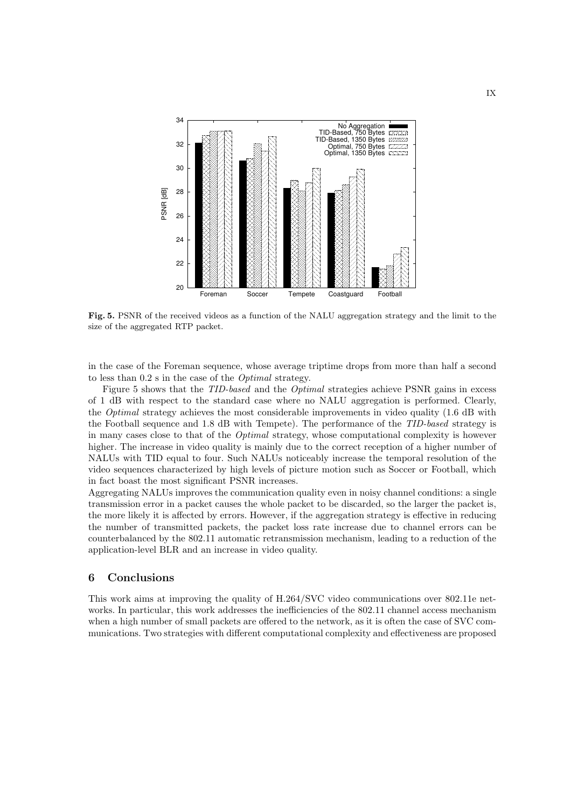

Fig. 5. PSNR of the received videos as a function of the NALU aggregation strategy and the limit to the size of the aggregated RTP packet.

in the case of the Foreman sequence, whose average triptime drops from more than half a second to less than 0.2 s in the case of the Optimal strategy.

Figure 5 shows that the TID-based and the Optimal strategies achieve PSNR gains in excess of 1 dB with respect to the standard case where no NALU aggregation is performed. Clearly, the Optimal strategy achieves the most considerable improvements in video quality (1.6 dB with the Football sequence and 1.8 dB with Tempete). The performance of the TID-based strategy is in many cases close to that of the Optimal strategy, whose computational complexity is however higher. The increase in video quality is mainly due to the correct reception of a higher number of NALUs with TID equal to four. Such NALUs noticeably increase the temporal resolution of the video sequences characterized by high levels of picture motion such as Soccer or Football, which in fact boast the most significant PSNR increases.

Aggregating NALUs improves the communication quality even in noisy channel conditions: a single transmission error in a packet causes the whole packet to be discarded, so the larger the packet is, the more likely it is affected by errors. However, if the aggregation strategy is effective in reducing the number of transmitted packets, the packet loss rate increase due to channel errors can be counterbalanced by the 802.11 automatic retransmission mechanism, leading to a reduction of the application-level BLR and an increase in video quality.

## 6 Conclusions

This work aims at improving the quality of H.264/SVC video communications over 802.11e networks. In particular, this work addresses the inefficiencies of the 802.11 channel access mechanism when a high number of small packets are offered to the network, as it is often the case of SVC communications. Two strategies with different computational complexity and effectiveness are proposed